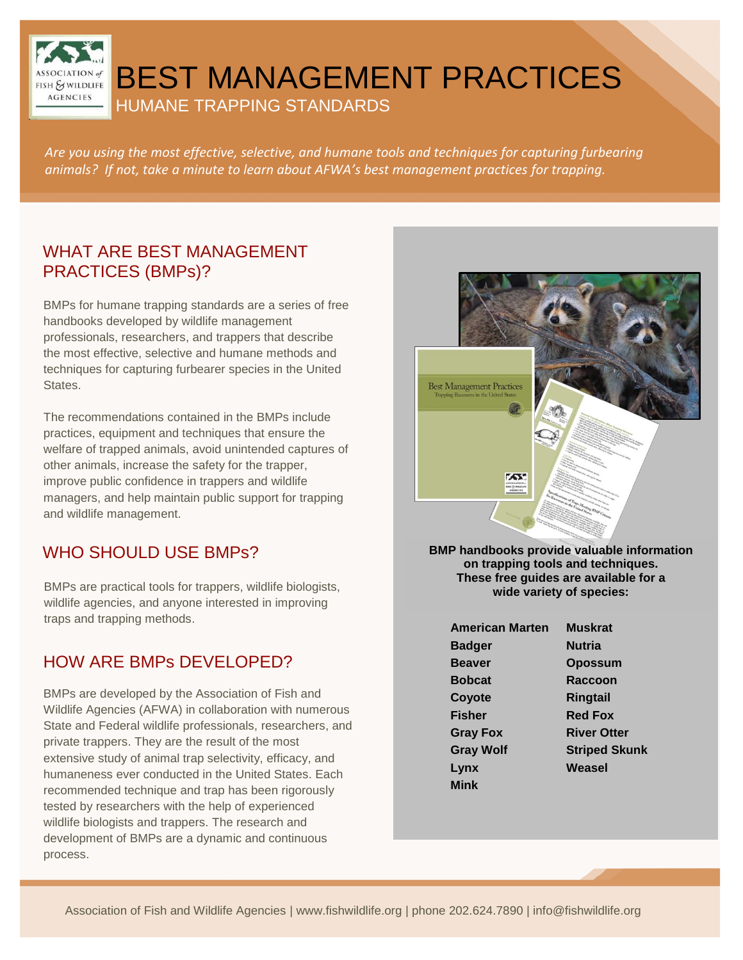BEST MANAGEMENT PRACTICES

HUMANE TRAPPING STANDARDS

*Are you using the most effective, selective, and humane tools and techniques for capturing furbearing animals? If not, take a minute to learn about AFWA's best management practices for trapping.*

#### WHAT ARE BEST MANAGEMENT PRACTICES (BMPs)?

I

FISH & WILDLIFE **AGENCIES** 

BMPs for humane trapping standards are a series of free handbooks developed by wildlife management professionals, researchers, and trappers that describe the most effective, selective and humane methods and techniques for capturing furbearer species in the United States.

The recommendations contained in the BMPs include practices, equipment and techniques that ensure the welfare of trapped animals, avoid unintended captures of other animals, increase the safety for the trapper, improve public confidence in trappers and wildlife managers, and help maintain public support for trapping and wildlife management.

# WHO SHOULD USE BMPs?

BMPs are practical tools for trappers, wildlife biologists, wildlife agencies, and anyone interested in improving traps and trapping methods.

# HOW ARE BMPs DEVELOPED?

BMPs are developed by the Association of Fish and Wildlife Agencies (AFWA) in collaboration with numerous State and Federal wildlife professionals, researchers, and private trappers. They are the result of the most extensive study of animal trap selectivity, efficacy, and humaneness ever conducted in the United States. Each recommended technique and trap has been rigorously tested by researchers with the help of experienced wildlife biologists and trappers. The research and development of BMPs are a dynamic and continuous process.



**BMP handbooks provide valuable information on trapping tools and techniques. These free guides are available for a wide variety of species:**

| <b>American Marten</b> | <b>Muskrat</b>       |
|------------------------|----------------------|
| Badger                 | <b>Nutria</b>        |
| <b>Beaver</b>          | <b>Opossum</b>       |
| Bobcat                 | <b>Raccoon</b>       |
| Coyote                 | <b>Ringtail</b>      |
| <b>Fisher</b>          | <b>Red Fox</b>       |
| <b>Gray Fox</b>        | <b>River Otter</b>   |
| <b>Gray Wolf</b>       | <b>Striped Skunk</b> |
| Lynx                   | Weasel               |
| Mink                   |                      |
|                        |                      |